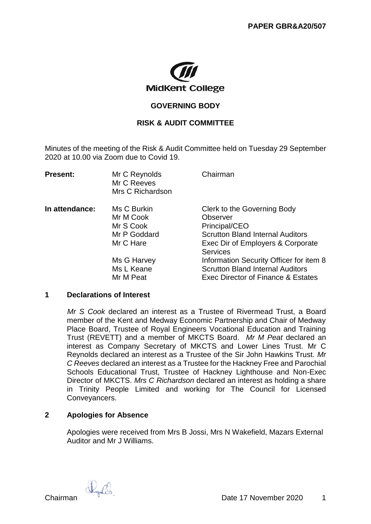

# **GOVERNING BODY**

# **RISK & AUDIT COMMITTEE**

Minutes of the meeting of the Risk & Audit Committee held on Tuesday 29 September 2020 at 10.00 via Zoom due to Covid 19.

| <b>Present:</b> | Mr C Reynolds<br>Mr C Reeves<br>Mrs C Richardson | Chairman                                                                      |
|-----------------|--------------------------------------------------|-------------------------------------------------------------------------------|
| In attendance:  | Ms C Burkin                                      | Clerk to the Governing Body                                                   |
|                 | Mr M Cook                                        | Observer                                                                      |
|                 | Mr S Cook                                        | Principal/CEO                                                                 |
|                 | Mr P Goddard                                     | <b>Scrutton Bland Internal Auditors</b>                                       |
|                 | Mr C Hare                                        | Exec Dir of Employers & Corporate<br><b>Services</b>                          |
|                 | Ms G Harvey                                      | Information Security Officer for item 8                                       |
|                 | Ms L Keane<br>Mr M Peat                          | <b>Scrutton Bland Internal Auditors</b><br>Exec Director of Finance & Estates |
|                 |                                                  |                                                                               |

#### **1 Declarations of Interest**

*Mr S Cook* declared an interest as a Trustee of Rivermead Trust, a Board member of the Kent and Medway Economic Partnership and Chair of Medway Place Board, Trustee of Royal Engineers Vocational Education and Training Trust (REVETT) and a member of MKCTS Board. *Mr M Peat* declared an interest as Company Secretary of MKCTS and Lower Lines Trust. Mr C Reynolds declared an interest as a Trustee of the Sir John Hawkins Trust. *Mr C Reeves* declared an interest as a Trustee for the Hackney Free and Parochial Schools Educational Trust, Trustee of Hackney Lighthouse and Non-Exec Director of MKCTS. *Mrs C Richardson* declared an interest as holding a share in Trinity People Limited and working for The Council for Licensed Conveyancers.

### **2 Apologies for Absence**

Apologies were received from Mrs B Jossi, Mrs N Wakefield, Mazars External Auditor and Mr J Williams.

Skurfil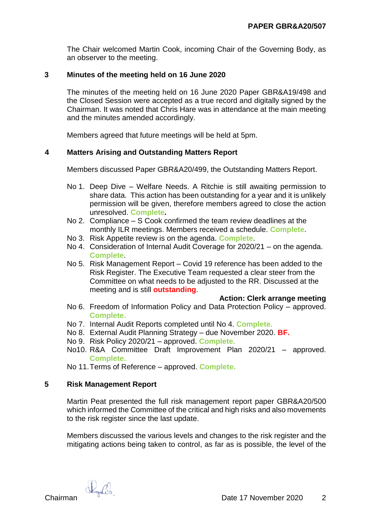The Chair welcomed Martin Cook, incoming Chair of the Governing Body, as an observer to the meeting.

# **3 Minutes of the meeting held on 16 June 2020**

The minutes of the meeting held on 16 June 2020 Paper GBR&A19/498 and the Closed Session were accepted as a true record and digitally signed by the Chairman. It was noted that Chris Hare was in attendance at the main meeting and the minutes amended accordingly.

Members agreed that future meetings will be held at 5pm.

### **4 Matters Arising and Outstanding Matters Report**

Members discussed Paper GBR&A20/499, the Outstanding Matters Report.

- No 1. Deep Dive Welfare Needs. A Ritchie is still awaiting permission to share data. This action has been outstanding for a year and it is unlikely permission will be given, therefore members agreed to close the action unresolved. **Complete.**
- No 2. Compliance S Cook confirmed the team review deadlines at the monthly ILR meetings. Members received a schedule. **Complete**.
- No 3. Risk Appetite review is on the agenda. **Complete**.
- No 4. Consideration of Internal Audit Coverage for 2020/21 on the agenda. **Complete**.
- No 5. Risk Management Report Covid 19 reference has been added to the Risk Register. The Executive Team requested a clear steer from the Committee on what needs to be adjusted to the RR. Discussed at the meeting and is still **outstanding**.

#### **Action: Clerk arrange meeting**

- No 6. Freedom of Information Policy and Data Protection Policy approved. **Complete.**
- No 7. Internal Audit Reports completed until No 4. **Complete.**
- No 8. External Audit Planning Strategy due November 2020. **BF.**
- No 9. Risk Policy 2020/21 approved. **Complete.**
- No10. R&A Committee Draft Improvement Plan 2020/21 approved. **Complete.**
- No 11.Terms of Reference approved. **Complete.**

### **5 Risk Management Report**

Martin Peat presented the full risk management report paper GBR&A20/500 which informed the Committee of the critical and high risks and also movements to the risk register since the last update.

Members discussed the various levels and changes to the risk register and the mitigating actions being taken to control, as far as is possible, the level of the

Skyles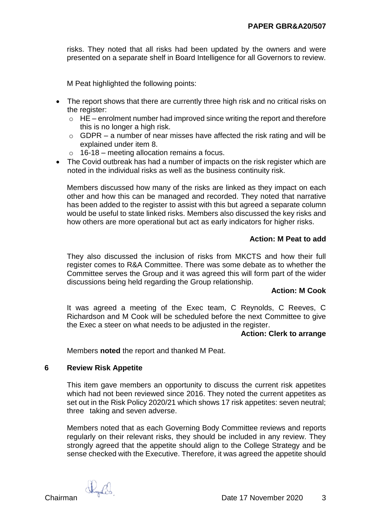risks. They noted that all risks had been updated by the owners and were presented on a separate shelf in Board Intelligence for all Governors to review.

M Peat highlighted the following points:

- The report shows that there are currently three high risk and no critical risks on the register:
	- $\circ$  HE enrolment number had improved since writing the report and therefore this is no longer a high risk.
	- $\circ$  GDPR a number of near misses have affected the risk rating and will be explained under item 8.
	- $\circ$  16-18 meeting allocation remains a focus.
- The Covid outbreak has had a number of impacts on the risk register which are noted in the individual risks as well as the business continuity risk.

Members discussed how many of the risks are linked as they impact on each other and how this can be managed and recorded. They noted that narrative has been added to the register to assist with this but agreed a separate column would be useful to state linked risks. Members also discussed the key risks and how others are more operational but act as early indicators for higher risks.

# **Action: M Peat to add**

They also discussed the inclusion of risks from MKCTS and how their full register comes to R&A Committee. There was some debate as to whether the Committee serves the Group and it was agreed this will form part of the wider discussions being held regarding the Group relationship.

### **Action: M Cook**

It was agreed a meeting of the Exec team, C Reynolds, C Reeves, C Richardson and M Cook will be scheduled before the next Committee to give the Exec a steer on what needs to be adjusted in the register.

### **Action: Clerk to arrange**

Members **noted** the report and thanked M Peat.

### **6 Review Risk Appetite**

This item gave members an opportunity to discuss the current risk appetites which had not been reviewed since 2016. They noted the current appetites as set out in the Risk Policy 2020/21 which shows 17 risk appetites: seven neutral; three taking and seven adverse.

Members noted that as each Governing Body Committee reviews and reports regularly on their relevant risks, they should be included in any review. They strongly agreed that the appetite should align to the College Strategy and be sense checked with the Executive. Therefore, it was agreed the appetite should

Chairman Date 17 November 2020 3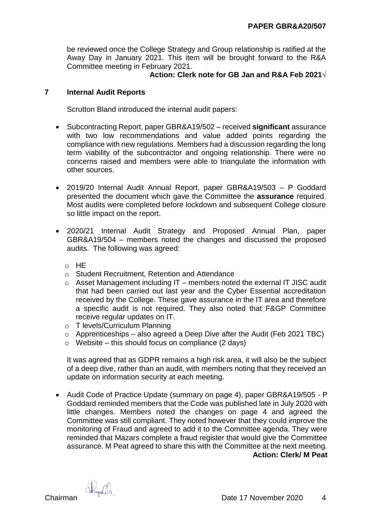be reviewed once the College Strategy and Group relationship is ratified at the Away Day in January 2021. This item will be brought forward to the R&A Committee meeting in February 2021.

# **Action: Clerk note for GB Jan and R&A Feb 2021**√

## **7 Internal Audit Reports**

Scrutton Bland introduced the internal audit papers:

- Subcontracting Report, paper GBR&A19/502 received **significant** assurance with two low recommendations and value added points regarding the compliance with new regulations. Members had a discussion regarding the long term viability of the subcontractor and ongoing relationship. There were no concerns raised and members were able to triangulate the information with other sources.
- 2019/20 Internal Audit Annual Report, paper GBR&A19/503 P Goddard presented the document which gave the Committee the **assurance** required. Most audits were completed before lockdown and subsequent College closure so little impact on the report.
- 2020/21 Internal Audit Strategy and Proposed Annual Plan, paper GBR&A19/504 – members noted the changes and discussed the proposed audits. The following was agreed:
	- $\circ$  HF
	- o Student Recruitment, Retention and Attendance
	- $\circ$  Asset Management including IT members noted the external IT JISC audit that had been carried out last year and the Cyber Essential accreditation received by the College. These gave assurance in the IT area and therefore a specific audit is not required. They also noted that F&GP Committee receive regular updates on IT.
	- o T levels/Curriculum Planning
	- $\circ$  Apprenticeships also agreed a Deep Dive after the Audit (Feb 2021 TBC)
	- $\circ$  Website this should focus on compliance (2 days)

It was agreed that as GDPR remains a high risk area, it will also be the subject of a deep dive, rather than an audit, with members noting that they received an update on information security at each meeting.

• Audit Code of Practice Update (summary on page 4), paper GBR&A19/505 - P Goddard reminded members that the Code was published late in July 2020 with little changes. Members noted the changes on page 4 and agreed the Committee was still compliant. They noted however that they could improve the monitoring of Fraud and agreed to add it to the Committee agenda. They were reminded that Mazars complete a fraud register that would give the Committee assurance. M Peat agreed to share this with the Committee at the next meeting. **Action: Clerk/ M Peat**